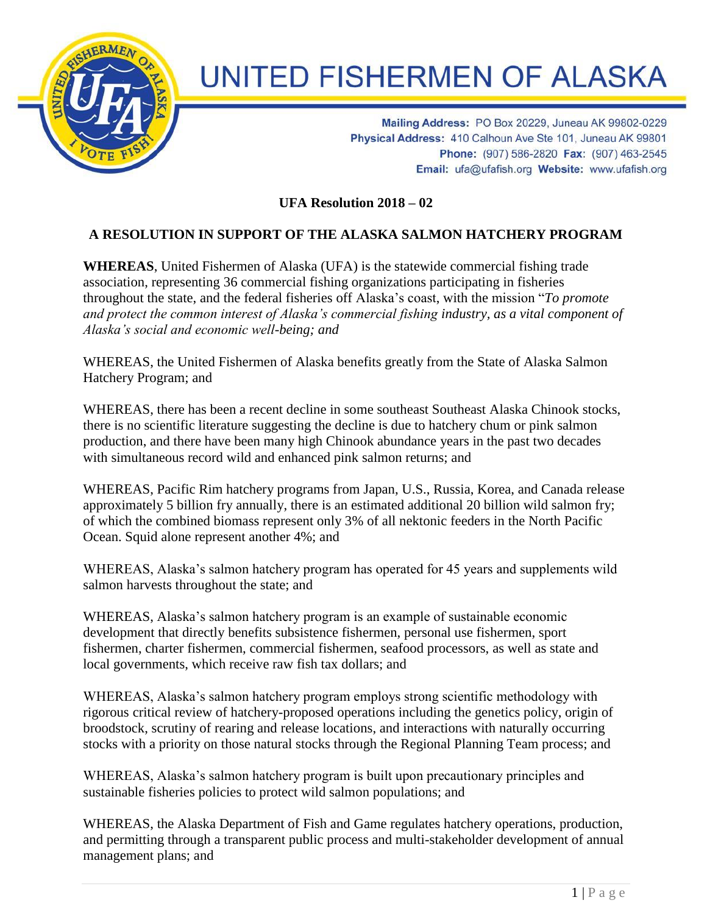

## **UNITED FISHERMEN OF ALASKA**

Mailing Address: PO Box 20229, Juneau AK 99802-0229 Physical Address: 410 Calhoun Ave Ste 101, Juneau AK 99801 Phone: (907) 586-2820 Fax: (907) 463-2545 Email: ufa@ufafish.org Website: www.ufafish.org

**UFA Resolution 2018 – 02**

## **A RESOLUTION IN SUPPORT OF THE ALASKA SALMON HATCHERY PROGRAM**

**WHEREAS**, United Fishermen of Alaska (UFA) is the statewide commercial fishing trade association, representing 36 commercial fishing organizations participating in fisheries throughout the state, and the federal fisheries off Alaska's coast, with the mission "*To promote and protect the common interest of Alaska's commercial fishing industry, as a vital component of Alaska's social and economic well-being; and*

WHEREAS, the United Fishermen of Alaska benefits greatly from the State of Alaska Salmon Hatchery Program; and

WHEREAS, there has been a recent decline in some southeast Southeast Alaska Chinook stocks, there is no scientific literature suggesting the decline is due to hatchery chum or pink salmon production, and there have been many high Chinook abundance years in the past two decades with simultaneous record wild and enhanced pink salmon returns; and

WHEREAS, Pacific Rim hatchery programs from Japan, U.S., Russia, Korea, and Canada release approximately 5 billion fry annually, there is an estimated additional 20 billion wild salmon fry; of which the combined biomass represent only 3% of all nektonic feeders in the North Pacific Ocean. Squid alone represent another 4%; and

WHEREAS, Alaska's salmon hatchery program has operated for 45 years and supplements wild salmon harvests throughout the state; and

WHEREAS, Alaska's salmon hatchery program is an example of sustainable economic development that directly benefits subsistence fishermen, personal use fishermen, sport fishermen, charter fishermen, commercial fishermen, seafood processors, as well as state and local governments, which receive raw fish tax dollars; and

WHEREAS, Alaska's salmon hatchery program employs strong scientific methodology with rigorous critical review of hatchery-proposed operations including the genetics policy, origin of broodstock, scrutiny of rearing and release locations, and interactions with naturally occurring stocks with a priority on those natural stocks through the Regional Planning Team process; and

WHEREAS, Alaska's salmon hatchery program is built upon precautionary principles and sustainable fisheries policies to protect wild salmon populations; and

WHEREAS, the Alaska Department of Fish and Game regulates hatchery operations, production, and permitting through a transparent public process and multi-stakeholder development of annual management plans; and